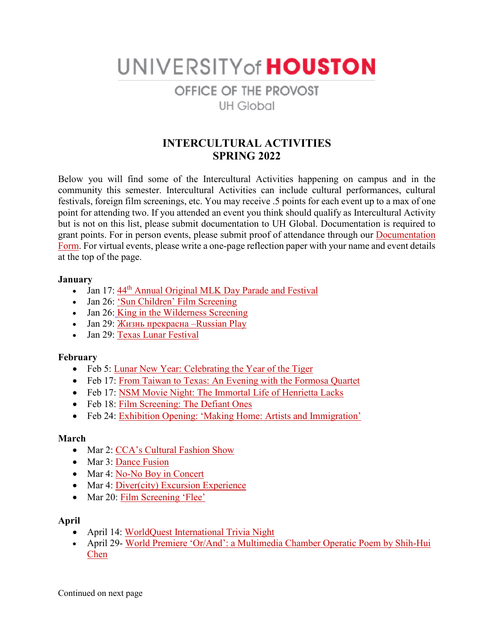UNIVERSITY of HOUSTON

# OFFICE OF THE PROVOST **UH Global**

## **INTERCULTURAL ACTIVITIES SPRING 2022**

Below you will find some of the Intercultural Activities happening on campus and in the community this semester. Intercultural Activities can include cultural performances, cultural festivals, foreign film screenings, etc. You may receive .5 points for each event up to a max of one point for attending two. If you attended an event you think should qualify as Intercultural Activity but is not on this list, please submit documentation to UH Global. Documentation is required to grant points. For in person events, please submit proof of attendance through our **Documentation** [Form.](https://www.uh.edu/provost/university/global/_documents/documentation-form.pdf) For virtual events, please write a one-page reflection paper with your name and event details at the top of the page.

#### **January**

- Jan 17:  $44<sup>th</sup>$  [Annual Original MLK Day Parade and Festival](https://urldefense.com/v3/__https:/blackheritagesociety.net/houston-mlk-festival__;!!LkSTlj0I!A1L-XAbWnyywBUXHkYm9q-_nWm33Lgoiz-Gz528IZPfJriKn6H77IeOp4Au7zOxImVwnLTnzduPhfojyOm92Tc1lMfE-$)
- Jan 26: ['Sun Children' Film Screening](https://urldefense.com/v3/__https:/asiasociety.org/texas/events/film-screening-sun-children__;!!LkSTlj0I!A1L-XAbWnyywBUXHkYm9q-_nWm33Lgoiz-Gz528IZPfJriKn6H77IeOp4Au7zOxImVwnLTnzduPhfojyOm92TQ980OzA$)
- Jan 26: [King in the Wilderness](https://www.uh.edu/calendar/index.php?view=e&id=355105) Screening
- Jan 29: [Жизнь прекрасна](https://urldefense.com/v3/__https:/www.purplepass.com/*228798/New_Russian_Theater-**K_**Q!**A-Evelyn_Rubenstein_JCC,_Kaplan_Theatre-January-29-2022.html__;I8Kr0JbQuNC30L3RjNC_0YDQtdC60YDQsNGB0L3QsMK7!!LkSTlj0I!A1L-XAbWnyywBUXHkYm9q-_nWm33Lgoiz-Gz528IZPfJriKn6H77IeOp4Au7zOxImVwnLTnzduPhfojyOm92TUB0cXrj$) –Russian Play
- Jan 29: [Texas Lunar Festival](http://www.texaslunarfest.net/)

### **February**

- Feb 5: [Lunar New Year: Celebrating the Year of the Tiger](https://asiasociety.org/texas/events/lunar-new-year-2022-celebrating-year-tiger)
- Feb 17: [From Taiwan to Texas: An Evening with the Formosa Quartet](https://asiasociety.org/texas/events/taiwan-texas-evening-formosa-quartet)
- Feb 17: [NSM Movie Night: The Immortal Life of Henrietta Lacks](https://uh.edu/nsm/news-events/culture-science/)
- Feb 18: [Film Screening: The Defiant Ones](https://hmh.org/events/matinee-film-screening-the-defiant-ones-2022-02-18-14:00:00)
- Feb 24: [Exhibition Opening: 'Making Home: Artists and Immigration'](https://asiasociety.org/texas/events/exhibition-reception-making-home-artists-and-immigration)

### **March**

- Mar 2: [CCA's Cultural Fashion Show](https://www.uh.edu/cdi/events/calendar/?view=e&id=355108#event)
- Mar 3: [Dance Fusion](https://www.uh.edu/cdi/events/calendar/?view=e&id=355109#event)
- Mar 4: [No-No Boy in Concert](https://asiasociety.org/texas/events/no-no-boy-concert)
- Mar 4: [Diver\(city\) Excursion Experience](https://www.uh.edu/cdi/events/calendar/?view=e&id=355110#event)
- Mar 20: [Film Screening 'Flee'](https://asiasociety.org/texas/events/film-screening-flee)

### **April**

- April 14: [WorldQuest International Trivia Night](https://wachouston.org/event/worldquest-trivia-night-2021/)
- April 29- [World Premiere 'Or/And': a Multimedia Chamber Operatic Poem by Shih-Hui](https://asiasociety.org/texas/events/world-premiere-orand)  [Chen](https://asiasociety.org/texas/events/world-premiere-orand)